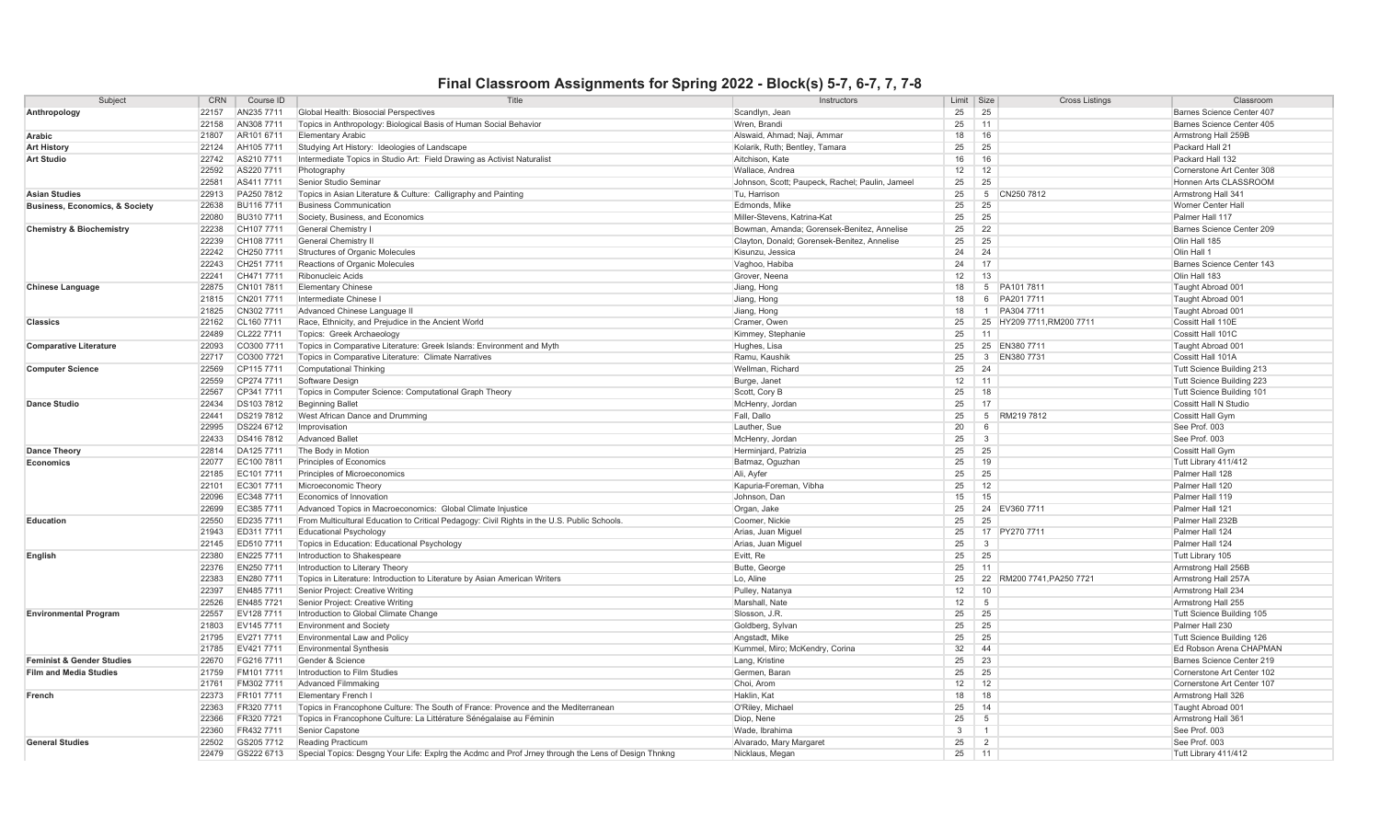## **Final Classroom Assignments for Spring 2022 - Block(s) 5-7, 6-7, 7, 7-8**

| Subject                                   | <b>CRN</b><br>Course ID | Title                                                                                               | Instructors                                     | Limit | Size            | <b>Cross Listings</b>     | Classroom                  |
|-------------------------------------------|-------------------------|-----------------------------------------------------------------------------------------------------|-------------------------------------------------|-------|-----------------|---------------------------|----------------------------|
| Anthropology                              | 22157<br>AN235 7711     | Global Health: Biosocial Perspectives                                                               | Scandlyn, Jean                                  | 25    | 25              |                           | Barnes Science Center 407  |
|                                           | 22158<br>AN308 7711     | Topics in Anthropology: Biological Basis of Human Social Behavior                                   | Wren, Brandi                                    | 25    | 11              |                           | Barnes Science Center 405  |
| Arabic                                    | 21807<br>AR101 6711     | <b>Elementary Arabic</b>                                                                            | Alswaid, Ahmad: Naii, Ammar                     | 18    | 16              |                           | Armstrong Hall 259B        |
| <b>Art History</b>                        | 22124<br>AH105 7711     | Studying Art History: Ideologies of Landscape                                                       | Kolarik, Ruth; Bentley, Tamara                  | 25    | 25              |                           | Packard Hall 21            |
| <b>Art Studio</b>                         | 22742<br>AS210 7711     | Intermediate Topics in Studio Art: Field Drawing as Activist Naturalis                              | Aitchison, Kate                                 | 16    | 16              |                           | Packard Hall 132           |
|                                           | 22592<br>AS220 7711     | Photography                                                                                         | Wallace, Andrea                                 | 12    | 12              |                           | Cornerstone Art Center 308 |
|                                           | 22581<br>AS4117711      | Senior Studio Seminar                                                                               | Johnson, Scott; Paupeck, Rachel; Paulin, Jameel | 25    | 25              |                           | Honnen Arts CLASSROOM      |
| <b>Asian Studies</b>                      | 22913<br>PA250 7812     | Topics in Asian Literature & Culture: Calligraphy and Painting                                      | Tu. Harrison                                    | 25    | 5 <sup>5</sup>  | CN250 7812                | Armstrong Hall 341         |
| <b>Business, Economics, &amp; Society</b> | 22638<br>BU116 7711     | <b>Business Communication</b>                                                                       | Edmonds, Mike                                   | 25    | 25              |                           | Worner Center Hall         |
|                                           | 22080<br>BU310 7711     | Society, Business, and Economics                                                                    | Miller-Stevens, Katrina-Kat                     | 25    | 25              |                           | Palmer Hall 117            |
| <b>Chemistry &amp; Biochemistry</b>       | 22238<br>CH107 7711     | <b>General Chemistry I</b>                                                                          | Bowman, Amanda; Gorensek-Benitez, Annelise      | 25    | 22              |                           | Barnes Science Center 209  |
|                                           | 22239<br>CH108 7711     | General Chemistry II                                                                                | Clayton, Donald; Gorensek-Benitez, Annelise     | 25    | 25              |                           | Olin Hall 185              |
|                                           | 22242<br>CH250 7711     | <b>Structures of Organic Molecules</b>                                                              | Kisunzu, Jessica                                | 24    | 24              |                           | Olin Hall 1                |
|                                           | 22243<br>CH251 7711     | Reactions of Organic Molecules                                                                      | Vaghoo, Habiba                                  | 24    | 17              |                           | Barnes Science Center 143  |
|                                           | 22241<br>CH471 7711     | Ribonucleic Acids                                                                                   | Grover, Neena                                   | 12    | 13              |                           | Olin Hall 183              |
| <b>Chinese Language</b>                   | 22875<br>CN1017811      | <b>Elementary Chinese</b>                                                                           | Jiang, Hong                                     | 18    |                 | 5 PA101 7811              | Taught Abroad 001          |
|                                           | 21815<br>CN201 7711     | Intermediate Chinese I                                                                              | Jiang, Hong                                     | 18    |                 | 6 PA201 7711              | Taught Abroad 001          |
|                                           | CN3027711<br>21825      | Advanced Chinese Language II                                                                        | Jiang, Hong                                     | 18    |                 | 1 PA304 7711              | Taught Abroad 001          |
| <b>Classics</b>                           | 22162<br>CL160 7711     | Race, Ethnicity, and Prejudice in the Ancient World                                                 | Cramer, Owen                                    | 25    |                 | 25 HY209 7711, RM200 7711 | Cossitt Hall 110E          |
|                                           | 22489<br>CL222 7711     | Topics: Greek Archaeology                                                                           | Kimmey, Stephanie                               | 25    | 11              |                           | Cossitt Hall 101C          |
| <b>Comparative Literature</b>             | 22093<br>CO300 7711     | Topics in Comparative Literature: Greek Islands: Environment and Myth                               | Hughes, Lisa                                    | 25    |                 | 25 EN380 7711             | Taught Abroad 001          |
|                                           | 22717<br>CO300 7721     | Topics in Comparative Literature: Climate Narratives                                                | Ramu, Kaushik                                   | 25    |                 | 3 EN380 7731              | Cossitt Hall 101A          |
| <b>Computer Science</b>                   | 22569<br>CP115 7711     | <b>Computational Thinking</b>                                                                       | Wellman, Richard                                | 25    | 24              |                           | Tutt Science Building 213  |
|                                           | 22559<br>CP274 7711     | Software Design                                                                                     | Burge, Janet                                    | 12    | 11              |                           | Tutt Science Building 223  |
|                                           | 22567<br>CP341 7711     | Topics in Computer Science: Computational Graph Theory                                              | Scott, Cory B                                   | 25    | 18              |                           | Tutt Science Building 101  |
| <b>Dance Studio</b>                       | 22434<br>DS1037812      | <b>Beginning Ballet</b>                                                                             | McHenry, Jordar                                 | 25    | 17              |                           | Cossitt Hall N Studio      |
|                                           | 22441<br>DS219 7812     | West African Dance and Drumming                                                                     | Fall, Dallo                                     | 25    | $5\overline{5}$ | RM219 7812                | <b>Cossitt Hall Gym</b>    |
|                                           | 22995<br>DS224 6712     | Improvisation                                                                                       | Lauther, Sue                                    | 20    | 6               |                           | See Prof. 003              |
|                                           | 22433<br>DS416 7812     | <b>Advanced Ballet</b>                                                                              | McHenry, Jordan                                 | 25    | 3               |                           | See Prof. 003              |
| <b>Dance Theory</b>                       | 22814<br>DA125 7711     | The Body in Motion                                                                                  | Herminjard, Patrizia                            | 25    | 25              |                           | Cossitt Hall Gym           |
| Economics                                 | 22077<br>EC100 7811     | Principles of Economics                                                                             | Batmaz, Oguzhan                                 | 25    | 19              |                           | Tutt Library 411/412       |
|                                           | EC101 7711<br>22185     | Principles of Microeconomics                                                                        | Ali, Ayfer                                      | 25    | 25              |                           | Palmer Hall 128            |
|                                           | EC3017711<br>22101      | Microeconomic Theory                                                                                | Kapuria-Foreman, Vibha                          | 25    | 12              |                           | Palmer Hall 120            |
|                                           | 22096<br>EC348 7711     | Economics of Innovation                                                                             | Johnson, Dan                                    | 15    | 15              |                           | Palmer Hall 119            |
|                                           | 22699<br>EC385 7711     | Advanced Topics in Macroeconomics: Global Climate Injustice                                         | Organ, Jake                                     | 25    |                 | 24 EV360 7711             | Palmer Hall 121            |
| Education                                 | 22550<br>ED235 7711     | From Multicultural Education to Critical Pedagogy: Civil Rights in the U.S. Public Schools          | Coomer, Nickie                                  | 25    | 25              |                           | Palmer Hall 232B           |
|                                           | 21943<br>ED311 7711     | <b>Educational Psychology</b>                                                                       | Arias, Juan Miguel                              | 25    |                 | 17 PY270 7711             | Palmer Hall 124            |
|                                           | 22145<br>ED510 7711     | Topics in Education: Educational Psychology                                                         | Arias, Juan Miguel                              | 25    | $\mathbf{3}$    |                           | Palmer Hall 124            |
| English                                   | EN225 7711<br>22380     | Introduction to Shakespeare                                                                         | Evitt, Re                                       | 25    | 25              |                           | Tutt Library 105           |
|                                           | 22376<br>EN250 7711     | Introduction to Literary Theory                                                                     | Butte, George                                   | 25    | 11              |                           | Armstrong Hall 256B        |
|                                           | 22383<br>EN280 7711     | Topics in Literature: Introduction to Literature by Asian American Writers                          | Lo. Aline                                       | 25    | 22              | RM200 7741, PA250 7721    | Armstrong Hall 257A        |
|                                           | 22397<br>EN485 7711     | Senior Project: Creative Writing                                                                    | Pulley, Natanya                                 | 12    | 10              |                           | Armstrong Hall 234         |
|                                           | 22526<br>EN485 7721     | Senior Project: Creative Writing                                                                    | Marshall, Nate                                  | 12    | -5              |                           | Armstrong Hall 255         |
| <b>Environmental Program</b>              | 22557<br>EV128 7711     | Introduction to Global Climate Change                                                               | Slosson, J.R.                                   | 25    | 25              |                           | Tutt Science Building 105  |
|                                           | 21803<br>EV145 7711     | <b>Environment and Society</b>                                                                      | Goldberg, Sylvan                                | 25    | 25              |                           | Palmer Hall 230            |
|                                           | 21795<br>EV271 7711     | <b>Environmental Law and Policy</b>                                                                 | Angstadt, Mike                                  | 25    | 25              |                           | Tutt Science Building 126  |
|                                           | 21785<br>EV421 7711     | <b>Environmental Synthesis</b>                                                                      | Kummel, Miro; McKendry, Corina                  | 32    | 44              |                           | Ed Robson Arena CHAPMAN    |
| <b>Feminist &amp; Gender Studies</b>      | 22670<br>FG216 7711     | Gender & Science                                                                                    | Lang, Kristine                                  | 25    | 23              |                           | Barnes Science Center 219  |
| <b>Film and Media Studies</b>             | 21759<br>FM101 7711     | Introduction to Film Studies                                                                        | Germen, Baran                                   | 25    | 25              |                           | Cornerstone Art Center 102 |
|                                           | 21761<br>FM302 7711     | <b>Advanced Filmmaking</b>                                                                          | Choi. Arom                                      | 12    | 12              |                           | Cornerstone Art Center 107 |
| French                                    | 22373<br>FR101 7711     | <b>Elementary French I</b>                                                                          | Haklin, Kat                                     | 18    | 18              |                           | Armstrong Hall 326         |
|                                           | 22363<br>FR320 7711     | Topics in Francophone Culture: The South of France: Provence and the Mediterranean                  | O'Riley, Michael                                | 25    | 14              |                           | Taught Abroad 001          |
|                                           | 22366<br>FR320 7721     | Topics in Francophone Culture: La Littérature Sénégalaise au Féminin                                | Diop, Nene                                      | 25    | 5               |                           | Armstrong Hall 361         |
|                                           | 22360<br>FR432 7711     | Senior Capstone                                                                                     | Wade, Ibrahima                                  | 3     | $\overline{1}$  |                           | See Prof. 003              |
| <b>General Studies</b>                    | 22502<br>GS205 7712     | <b>Reading Practicum</b>                                                                            | Alvarado, Mary Margaret                         | 25    | 2               |                           | See Prof. 003              |
|                                           | 22479<br>GS222 6713     | Special Topics: Desgng Your Life: Explrg the Acdmc and Prof Jrney through the Lens of Design Thnkng | Nicklaus, Megan                                 | 25    | 11              |                           | Tutt Library 411/412       |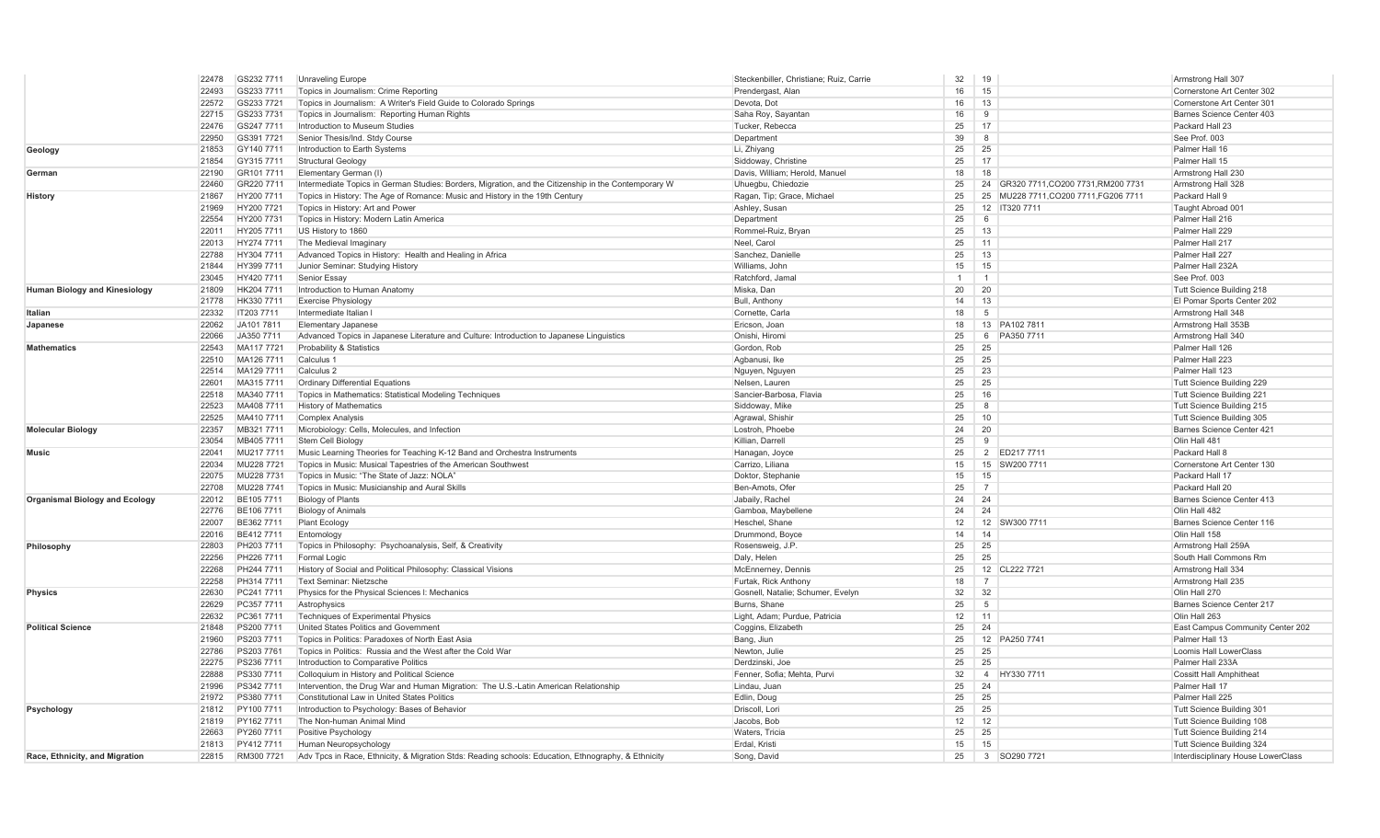|                                      | 22478<br>GS232 7711 | Unraveling Europe                                                                                    | Steckenbiller, Christiane: Ruiz, Carrie | 32           | 19                                    | Armstrong Hall 307                 |
|--------------------------------------|---------------------|------------------------------------------------------------------------------------------------------|-----------------------------------------|--------------|---------------------------------------|------------------------------------|
|                                      | 22493<br>GS233 7711 | Topics in Journalism: Crime Reporting                                                                | Prendergast, Alan                       | 16           | 15                                    | Cornerstone Art Center 302         |
|                                      | 22572<br>GS233 7721 | Topics in Journalism: A Writer's Field Guide to Colorado Springs                                     | Devota, Dot                             | 16           | 13                                    | Cornerstone Art Center 301         |
|                                      | 22715<br>GS233 7731 | Topics in Journalism: Reporting Human Rights                                                         | Saha Roy, Sayantan                      | 16           | 9                                     | Barnes Science Center 403          |
|                                      | 22476<br>GS247 7711 | Introduction to Museum Studies                                                                       | Tucker, Rebecca                         | 25           | 17                                    | Packard Hall 23                    |
|                                      | 22950<br>GS391 7721 | Senior Thesis/Ind. Stdy Course                                                                       | Department                              | 39           | $\mathcal{B}$                         | See Prof. 003                      |
| Geology<br>German<br>History         | 21853<br>GY140 7711 | Introduction to Earth Systems                                                                        | Li, Zhiyang                             | 25           | 25                                    | Palmer Hall 16                     |
|                                      | 21854<br>GY315 7711 | <b>Structural Geology</b>                                                                            | Siddoway, Christine                     | 25           | 17                                    | Palmer Hall 15                     |
|                                      | 22190<br>GR101 7711 | Elementary German (I)                                                                                | Davis, William; Herold, Manuel          | 18           | 18                                    | Armstrong Hall 230                 |
|                                      | 22460<br>GR220 7711 | Intermediate Topics in German Studies: Borders, Migration, and the Citizenship in the Contemporary W | Uhuegbu, Chiedozie                      | 25           | 24 GR320 7711, CO200 7731, RM200 7731 | Armstrong Hall 328                 |
|                                      | 21867<br>HY200 7711 | Topics in History: The Age of Romance: Music and History in the 19th Century                         | Ragan, Tip; Grace, Michael              | 25           | 25 MU228 7711, CO200 7711, FG206 7711 | Packard Hall 9                     |
|                                      | 21969<br>HY200 7721 | Topics in History: Art and Power                                                                     | Ashley, Susan                           | 25           | 12 IT320 7711                         | Taught Abroad 001                  |
|                                      | HY200 7731<br>22554 | Topics in History: Modern Latin America                                                              | Department                              | 25           | $\epsilon$                            | Palmer Hall 216                    |
|                                      | 22011<br>HY205 7711 | US History to 1860                                                                                   | Rommel-Ruiz, Bryan                      | 25           | 13                                    | Palmer Hall 229                    |
|                                      |                     |                                                                                                      |                                         |              | 11                                    | Palmer Hall 217                    |
|                                      | HY274 7711<br>22013 | The Medieval Imaginary                                                                               | Neel, Carol                             | 25           |                                       |                                    |
|                                      | 22788<br>HY304 7711 | Advanced Topics in History: Health and Healing in Africa                                             | Sanchez, Danielle                       | 25           | 13                                    | Palmer Hall 227                    |
|                                      | 21844<br>HY399 7711 | Junior Seminar: Studying History                                                                     | Williams, John                          | 15           | 15                                    | Palmer Hall 232A                   |
|                                      | 23045<br>HY420 7711 | Senior Essay                                                                                         | Ratchford, Jama                         | $\mathbf{1}$ | $\overline{1}$                        | See Prof. 003                      |
| <b>Human Biology and Kinesiology</b> | 21809<br>HK204 7711 | Introduction to Human Anatomy                                                                        | Miska, Dan                              | 20           | 20                                    | Tutt Science Building 218          |
|                                      | 21778<br>HK330 7711 | <b>Exercise Physiology</b>                                                                           | Bull, Anthony                           | 14           | 13                                    | El Pomar Sports Center 202         |
| Italian                              | 22332<br>IT203 7711 | Intermediate Italian I                                                                               | Cornette, Carla                         | 18           | -5                                    | Armstrong Hall 348                 |
| Japanese                             | 22062<br>JA101 781  | <b>Elementary Japanese</b>                                                                           | Ericson, Joan                           | 18           | 13 PA102 7811                         | Armstrong Hall 353B                |
|                                      | JA350 7711<br>22066 | Advanced Topics in Japanese Literature and Culture: Introduction to Japanese Linguistics             | Onishi, Hiromi                          | 25           | PA350 7711<br>6                       | Armstrong Hall 340                 |
| <b>Mathematics</b>                   | 22543<br>MA117 7721 | Probability & Statistics                                                                             | Gordon, Rob                             | 25           | 25                                    | Palmer Hall 126                    |
|                                      | 22510<br>MA126 7711 | Calculus <sub>1</sub>                                                                                | Agbanusi, Ike                           | 25           | 25                                    | Palmer Hall 223                    |
|                                      | 22514<br>MA129 7711 | Calculus <sub>2</sub>                                                                                | Nguyen, Nguyen                          | 25           | 23                                    | Palmer Hall 123                    |
|                                      | 22601<br>MA315 7711 | <b>Ordinary Differential Equations</b>                                                               | Nelsen, Lauren                          | 25           | 25                                    | Tutt Science Building 229          |
|                                      | 22518<br>MA340 7711 | Topics in Mathematics: Statistical Modeling Techniques                                               | Sancier-Barbosa, Flavia                 | 25           | 16                                    | Tutt Science Building 221          |
|                                      | 22523<br>MA408 7711 | <b>History of Mathematics</b>                                                                        | Siddoway, Mike                          | 25           | $\mathcal{R}$                         | Tutt Science Building 215          |
|                                      | 22525<br>MA410 7711 | <b>Complex Analysis</b>                                                                              | Agrawal, Shishir                        | 25           | 10                                    | Tutt Science Building 305          |
| <b>Molecular Biology</b>             | 22357<br>MB321 7711 | Microbiology: Cells, Molecules, and Infection                                                        | Lostroh, Phoebe                         | 24           | 20                                    | Barnes Science Center 421          |
|                                      | 23054<br>MB405 7711 | <b>Stem Cell Biology</b>                                                                             | Killian, Darrell                        | 25           | -9                                    | Olin Hall 481                      |
| <b>Music</b>                         | 22041<br>MU217 7711 | Music Learning Theories for Teaching K-12 Band and Orchestra Instruments                             | Hanagan, Joyce                          | 25           | 2 ED217 7711                          | Packard Hall 8                     |
|                                      | 22034<br>MU228 7721 | Topics in Music: Musical Tapestries of the American Southwest                                        | Carrizo, Liliana                        | 15           | 15 SW200 7711                         | Cornerstone Art Center 130         |
|                                      | 22075<br>MU228 7731 | Topics in Music: "The State of Jazz: NOLA'                                                           | Doktor, Stephanie                       | 15           | 15                                    | Packard Hall 17                    |
|                                      | 22708<br>MU228 7741 | Topics in Music: Musicianship and Aural Skills                                                       | Ben-Amots, Ofer                         | 25           | $\overline{7}$                        | Packard Hall 20                    |
| Organismal Biology and Ecology       | BE105 7711<br>22012 | <b>Biology of Plants</b>                                                                             | Jabaily, Rachel                         | 24           | 24                                    | Barnes Science Center 413          |
|                                      | 22776<br>BE106 7711 | <b>Biology of Animals</b>                                                                            | Gamboa, Maybellene                      | 24           | 24                                    | Olin Hall 482                      |
|                                      | 22007<br>BE362 7711 | <b>Plant Ecology</b>                                                                                 | Heschel, Shane                          | 12           | 12 SW300 7711                         | Barnes Science Center 116          |
|                                      | 22016<br>BE412 7711 | Entomology                                                                                           | Drummond, Boyce                         | 14           | 14                                    | Olin Hall 158                      |
| Philosophy                           | 22803<br>PH203 7711 | Topics in Philosophy: Psychoanalysis, Self, & Creativity                                             | Rosensweig, J.P.                        | 25           | 25                                    | Armstrong Hall 259A                |
|                                      | 22256<br>PH226 7711 | Formal Logic                                                                                         | Daly, Helen                             | 25           | 25                                    | South Hall Commons Rm              |
|                                      | 22268<br>PH244 7711 | History of Social and Political Philosophy: Classical Visions                                        | McEnnerney, Dennis                      | 25           | 12 CL222 7721                         | Armstrong Hall 334                 |
|                                      | 22258<br>PH314 7711 | Text Seminar: Nietzsche                                                                              | Furtak, Rick Anthony                    | 18           | $\overline{7}$                        | Armstrong Hall 235                 |
| Physics                              | 22630<br>PC241 7711 | Physics for the Physical Sciences I: Mechanics                                                       | Gosnell, Natalie; Schumer, Evelyn       | 32           | 32                                    | Olin Hall 270                      |
|                                      | 22629<br>PC357 7711 |                                                                                                      | Burns, Shane                            | 25           | -5                                    | Barnes Science Center 217          |
|                                      |                     | Astrophysics                                                                                         |                                         | 12           |                                       |                                    |
|                                      | 22632<br>PC3617711  | Techniques of Experimental Physics                                                                   | Light, Adam; Purdue, Patricia           |              | 11                                    | Olin Hall 263                      |
| <b>Political Science</b>             | 21848<br>PS200 7711 | United States Politics and Governmen                                                                 | Coggins, Elizabeth                      | 25           | 24                                    | East Campus Community Center 202   |
|                                      | 21960<br>PS203 7711 | Topics in Politics: Paradoxes of North East Asia                                                     | Bang, Jiun                              | 25           | 12 PA250 7741                         | Palmer Hall 13                     |
|                                      | 22786<br>PS203 7761 | Topics in Politics: Russia and the West after the Cold War                                           | Newton, Julie                           | 25           | 25                                    | Loomis Hall LowerClass             |
|                                      | 22275<br>PS236 7711 | Introduction to Comparative Politics                                                                 | Derdzinski, Joe                         | 25           | 25                                    | Palmer Hall 233A                   |
|                                      | 22888<br>PS330 7711 | Colloquium in History and Political Science                                                          | Fenner, Sofia; Mehta, Purvi             | 32           | 4 HY330 7711                          | <b>Cossitt Hall Amphitheat</b>     |
|                                      | 21996<br>PS3427711  | Intervention, the Drug War and Human Migration: The U.S.-Latin American Relationship                 | Lindau, Juan                            | 25           | 24                                    | Palmer Hall 17                     |
|                                      | 21972<br>PS380 7711 | <b>Constitutional Law in United States Politics</b>                                                  | Edlin, Doug                             | 25           | 25                                    | Palmer Hall 225                    |
| Psychology                           | PY100 7711<br>21812 | Introduction to Psychology: Bases of Behavior                                                        | Driscoll, Lori                          | 25           | 25                                    | Tutt Science Building 301          |
|                                      | 21819<br>PY1627711  | The Non-human Animal Mind                                                                            | Jacobs, Bob                             | 12           | 12                                    | Tutt Science Building 108          |
|                                      | 22663<br>PY260 7711 | Positive Psychology                                                                                  | Waters, Tricia                          | 25           | 25                                    | Tutt Science Building 214          |
|                                      | 21813<br>PY4127711  | Human Neuropsychology                                                                                | Erdal, Kristi                           | 15           | 15                                    | Tutt Science Building 324          |
| Race, Ethnicity, and Migration       | 22815<br>RM300 7721 | Adv Tpcs in Race, Ethnicity, & Migration Stds: Reading schools: Education, Ethnography, & Ethnicity  | Song, David                             | 25           | 3 SO290 7721                          | Interdisciplinary House LowerClass |